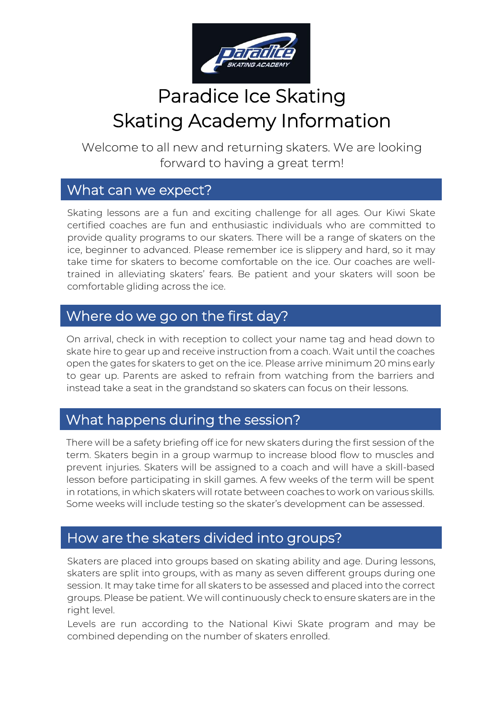

# Paradice Ice Skating Skating Academy Information

Welcome to all new and returning skaters. We are looking forward to having a great term!

#### What can we expect?

Skating lessons are a fun and exciting challenge for all ages. Our Kiwi Skate certified coaches are fun and enthusiastic individuals who are committed to provide quality programs to our skaters. There will be a range of skaters on the ice, beginner to advanced. Please remember ice is slippery and hard, so it may take time for skaters to become comfortable on the ice. Our coaches are welltrained in alleviating skaters' fears. Be patient and your skaters will soon be comfortable gliding across the ice.

#### Where do we go on the first day?

On arrival, check in with reception to collect your name tag and head down to skate hire to gear up and receive instruction from a coach. Wait until the coaches open the gates for skaters to get on the ice. Please arrive minimum 20 mins early to gear up. Parents are asked to refrain from watching from the barriers and instead take a seat in the grandstand so skaters can focus on their lessons.

## What happens during the session?

There will be a safety briefing off ice for new skaters during the first session of the term. Skaters begin in a group warmup to increase blood flow to muscles and prevent injuries. Skaters will be assigned to a coach and will have a skill-based lesson before participating in skill games. A few weeks of the term will be spent in rotations, in which skaters will rotate between coaches to work on various skills. Some weeks will include testing so the skater's development can be assessed.

## How are the skaters divided into groups?

Skaters are placed into groups based on skating ability and age. During lessons, skaters are split into groups, with as many as seven different groups during one session. It may take time for all skaters to be assessed and placed into the correct groups. Please be patient. We will continuously check to ensure skaters are in the right level.

Levels are run according to the National Kiwi Skate program and may be combined depending on the number of skaters enrolled.